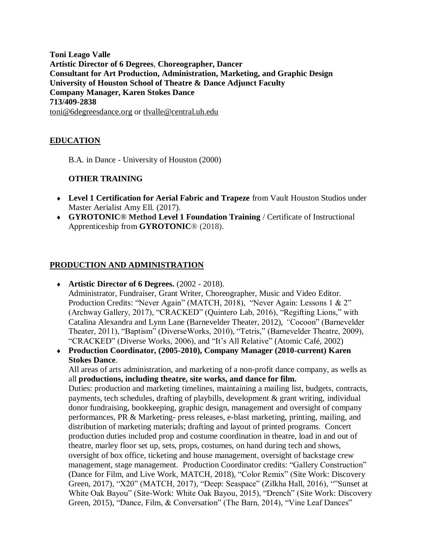**Toni Leago Valle Artistic Director of 6 Degrees**, **Choreographer, Dancer Consultant for Art Production, Administration, Marketing, and Graphic Design University of Houston School of Theatre & Dance Adjunct Faculty Company Manager, Karen Stokes Dance 713/409-2838** [toni@6degreesdance.org](mailto:toni@6degreesdance.org) or [tlvalle@central.uh.edu](mailto:tlvalle@central.uh.edu)

# **EDUCATION**

B.A. in Dance - University of Houston (2000)

## **OTHER TRAINING**

- **Level 1 Certification for Aerial Fabric and Trapeze** from Vault Houston Studios under Master Aerialist Amy Ell. (2017).
- **GYROTONIC® Method Level 1 Foundation Training** / Certificate of Instructional Apprenticeship from **GYROTONIC**® (2018).

## **PRODUCTION AND ADMINISTRATION**

- **Artistic Director of 6 Degrees.** (2002 2018). Administrator, Fundraiser, Grant Writer, Choreographer, Music and Video Editor. Production Credits: "Never Again" (MATCH, 2018), "Never Again: Lessons 1 & 2" (Archway Gallery, 2017), "CRACKED" (Quintero Lab, 2016), "Regifting Lions," with Catalina Alexandra and Lynn Lane (Barnevelder Theater, 2012), *"*Cocoon" (Barnevelder Theater, 2011), "Baptism" (DiverseWorks, 2010), "Tetris," (Barnevelder Theatre, 2009), "CRACKED" (Diverse Works, 2006), and "It's All Relative" (Atomic Café, 2002)
- **Production Coordinator, (2005-2010), Company Manager (2010-current) Karen Stokes Dance**.

All areas of arts administration, and marketing of a non-profit dance company, as wells as all **productions, including theatre, site works, and dance for film.**

Duties: production and marketing timelines, maintaining a mailing list, budgets, contracts, payments, tech schedules, drafting of playbills, development & grant writing, individual donor fundraising, bookkeeping, graphic design, management and oversight of company performances, PR & Marketing- press releases, e-blast marketing, printing, mailing, and distribution of marketing materials; drafting and layout of printed programs. Concert production duties included prop and costume coordination in theatre, load in and out of theatre, marley floor set up, sets, props, costumes, on hand during tech and shows, oversight of box office, ticketing and house management, oversight of backstage crew management, stage management. Production Coordinator credits: "Gallery Construction" (Dance for Film, and Live Work, MATCH, 2018), "Color Remix" (Site Work: Discovery Green, 2017), "X20" (MATCH, 2017), "Deep: Seaspace" (Zilkha Hall, 2016), ""Sunset at White Oak Bayou" (Site-Work: White Oak Bayou, 2015), "Drench" (Site Work: Discovery Green, 2015), "Dance, Film, & Conversation" (The Barn, 2014), "Vine Leaf Dances"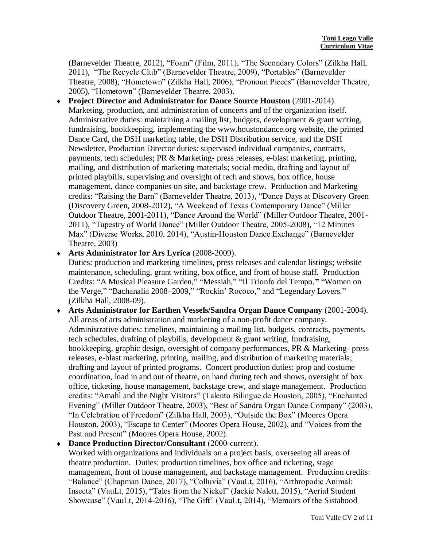(Barnevelder Theatre, 2012), "Foam" (Film, 2011), "The Secondary Colors" (Zilkha Hall, 2011), "The Recycle Club" (Barnevelder Theatre, 2009), "Portables" (Barnevelder Theatre, 2008), "Hometown" (Zilkha Hall, 2006), "Pronoun Pieces" (Barnevelder Theatre, 2005), "Hometown" (Barnevelder Theatre, 2003).

- **Project Director and Administrator for Dance Source Houston** (2001-2014). Marketing, production, and administration of concerts and of the organization itself. Administrative duties: maintaining a mailing list, budgets, development & grant writing, fundraising, bookkeeping, implementing the [www.houstondance.org](http://www.houstondance.org/) website, the printed Dance Card, the DSH marketing table, the DSH Distribution service, and the DSH Newsletter. Production Director duties: supervised individual companies, contracts, payments, tech schedules; PR & Marketing- press releases, e-blast marketing, printing, mailing, and distribution of marketing materials; social media, drafting and layout of printed playbills, supervising and oversight of tech and shows, box office, house management, dance companies on site, and backstage crew. Production and Marketing credits: "Raising the Barn" (Barnevelder Theatre, 2013), "Dance Days at Discovery Green (Discovery Green, 2008-2012), "A Weekend of Texas Contemporary Dance" (Miller Outdoor Theatre, 2001-2011), "Dance Around the World" (Miller Outdoor Theatre, 2001- 2011), "Tapestry of World Dance" (Miller Outdoor Theatre, 2005-2008), "12 Minutes Max" (Diverse Works, 2010, 2014), "Austin-Houston Dance Exchange" (Barnevelder Theatre, 2003)
- **Arts Administrator for Ars Lyrica** (2008-2009).

Duties: production and marketing timelines, press releases and calendar listings; website maintenance, scheduling, grant writing, box office, and front of house staff. Production Credits: "A Musical Pleasure Garden," "Messiah," "Il Trionfo del Tempo,**"** "Women on the Verge," "Bachanalia 2008–2009," "Rockin' Rococo," and "Legendary Lovers." (Zilkha Hall, 2008-09).

- **Arts Administrator for Earthen Vessels/Sandra Organ Dance Company** (2001-2004). All areas of arts administration and marketing of a non-profit dance company. Administrative duties: timelines, maintaining a mailing list, budgets, contracts, payments, tech schedules, drafting of playbills, development & grant writing, fundraising, bookkeeping, graphic design, oversight of company performances, PR & Marketing- press releases, e-blast marketing, printing, mailing, and distribution of marketing materials; drafting and layout of printed programs. Concert production duties: prop and costume coordination, load in and out of theatre, on hand during tech and shows, oversight of box office, ticketing, house management, backstage crew, and stage management. Production credits: "Amahl and the Night Visitors" (Talento Bilingue de Houston, 2005), "Enchanted Evening" (Miller Outdoor Theatre, 2003), "Best of Sandra Organ Dance Company" (2003), "In Celebration of Freedom" (Zilkha Hall, 2003), "Outside the Box" (Moores Opera Houston, 2003), "Escape to Center" (Moores Opera House, 2002), and "Voices from the Past and Present" (Moores Opera House, 2002).
- **Dance Production Director/Consultant** (2000-current).

Worked with organizations and individuals on a project basis, overseeing all areas of theatre production. Duties: production timelines, box office and ticketing, stage management, front of house management, and backstage management. Production credits: "Balance" (Chapman Dance, 2017), "Colluvia" (VauLt, 2016), "Arthropodic Animal: Insecta" (VauLt, 2015), "Tales from the Nickel" (Jackie Nalett, 2015), "Aerial Student Showcase" (VauLt, 2014-2016), "The Gift" (VauLt, 2014), "Memoirs of the Sistahood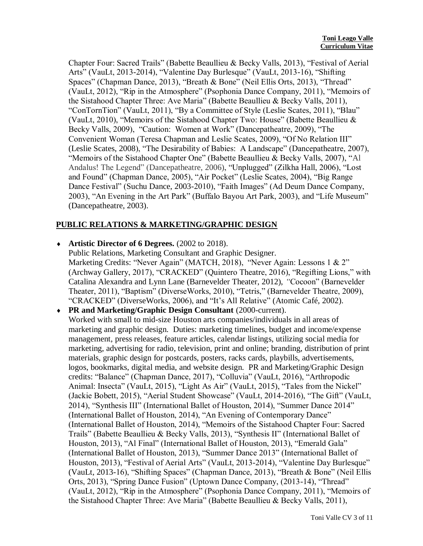Chapter Four: Sacred Trails" (Babette Beaullieu & Becky Valls, 2013), "Festival of Aerial Arts" (VauLt, 2013-2014), "Valentine Day Burlesque" (VauLt, 2013-16), "Shifting Spaces" (Chapman Dance, 2013), "Breath & Bone" (Neil Ellis Orts, 2013), "Thread" (VauLt, 2012), "Rip in the Atmosphere" (Psophonia Dance Company, 2011), "Memoirs of the Sistahood Chapter Three: Ave Maria" (Babette Beaullieu & Becky Valls, 2011), "ConTornTion" (VauLt, 2011), "By a Committee of Style (Leslie Scates, 2011), "Blau" (VauLt, 2010), "Memoirs of the Sistahood Chapter Two: House" (Babette Beaullieu & Becky Valls, 2009), "Caution: Women at Work" (Dancepatheatre, 2009), "The Convenient Woman (Teresa Chapman and Leslie Scates, 2009), "Of No Relation III" (Leslie Scates, 2008), "The Desirability of Babies: A Landscape" (Dancepatheatre, 2007), "Memoirs of the Sistahood Chapter One" (Babette Beaullieu & Becky Valls, 2007), "Al Andalus! The Legend" (Dancepatheatre, 2006), "Unplugged" (Zilkha Hall, 2006), "Lost and Found" (Chapman Dance, 2005), "Air Pocket" (Leslie Scates, 2004), "Big Range Dance Festival" (Suchu Dance, 2003-2010), "Faith Images" (Ad Deum Dance Company, 2003), "An Evening in the Art Park" (Buffalo Bayou Art Park, 2003), and "Life Museum" (Dancepatheatre, 2003).

## **PUBLIC RELATIONS & MARKETING/GRAPHIC DESIGN**

**Artistic Director of 6 Degrees.** (2002 to 2018).

Public Relations, Marketing Consultant and Graphic Designer. Marketing Credits: "Never Again" (MATCH, 2018), "Never Again: Lessons 1 & 2" (Archway Gallery, 2017), "CRACKED" (Quintero Theatre, 2016), "Regifting Lions," with Catalina Alexandra and Lynn Lane (Barnevelder Theater, 2012), *"*Cocoon" (Barnevelder Theater, 2011), "Baptism" (DiverseWorks, 2010), "Tetris," (Barnevelder Theatre, 2009), "CRACKED" (DiverseWorks, 2006), and "It's All Relative" (Atomic Café, 2002).

 **PR and Marketing/Graphic Design Consultant** (2000-current). Worked with small to mid-size Houston arts companies/individuals in all areas of marketing and graphic design. Duties: marketing timelines, budget and income/expense management, press releases, feature articles, calendar listings, utilizing social media for marketing, advertising for radio, television, print and online; branding, distribution of print materials, graphic design for postcards, posters, racks cards, playbills, advertisements, logos, bookmarks, digital media, and website design. PR and Marketing/Graphic Design credits: "Balance" (Chapman Dance, 2017), "Colluvia" (VauLt, 2016), "Arthropodic Animal: Insecta" (VauLt, 2015), "Light As Air" (VauLt, 2015), "Tales from the Nickel" (Jackie Bobett, 2015), "Aerial Student Showcase" (VauLt, 2014-2016), "The Gift" (VauLt, 2014), "Synthesis III" (International Ballet of Houston, 2014), "Summer Dance 2014" (International Ballet of Houston, 2014), "An Evening of Contemporary Dance" (International Ballet of Houston, 2014), "Memoirs of the Sistahood Chapter Four: Sacred Trails" (Babette Beaullieu & Becky Valls, 2013), "Synthesis II" (International Ballet of Houston, 2013), "Al Final" (International Ballet of Houston, 2013), "Emerald Gala" (International Ballet of Houston, 2013), "Summer Dance 2013" (International Ballet of Houston, 2013), "Festival of Aerial Arts" (VauLt, 2013-2014), "Valentine Day Burlesque" (VauLt, 2013-16), "Shifting Spaces" (Chapman Dance, 2013), "Breath & Bone" (Neil Ellis Orts, 2013), "Spring Dance Fusion" (Uptown Dance Company, (2013-14), "Thread" (VauLt, 2012), "Rip in the Atmosphere" (Psophonia Dance Company, 2011), "Memoirs of the Sistahood Chapter Three: Ave Maria" (Babette Beaullieu & Becky Valls, 2011),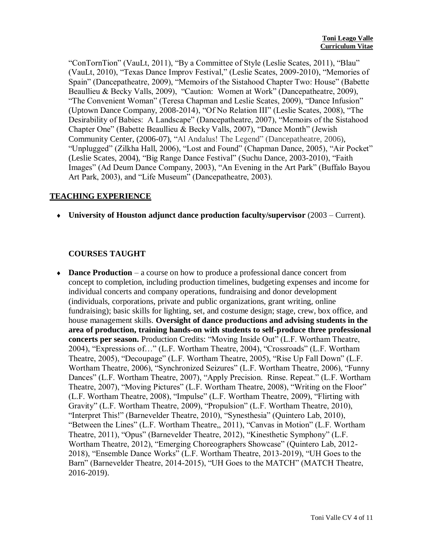"ConTornTion" (VauLt, 2011), "By a Committee of Style (Leslie Scates, 2011), "Blau" (VauLt, 2010), "Texas Dance Improv Festival," (Leslie Scates, 2009-2010), "Memories of Spain" (Dancepatheatre, 2009), "Memoirs of the Sistahood Chapter Two: House" (Babette Beaullieu & Becky Valls, 2009), "Caution: Women at Work" (Dancepatheatre, 2009), "The Convenient Woman" (Teresa Chapman and Leslie Scates, 2009), "Dance Infusion" (Uptown Dance Company, 2008-2014), "Of No Relation III" (Leslie Scates, 2008), "The Desirability of Babies: A Landscape" (Dancepatheatre, 2007), "Memoirs of the Sistahood Chapter One" (Babette Beaullieu & Becky Valls, 2007), "Dance Month" (Jewish Community Center, (2006-07), "Al Andalus! The Legend" (Dancepatheatre, 2006), "Unplugged" (Zilkha Hall, 2006), "Lost and Found" (Chapman Dance, 2005), "Air Pocket" (Leslie Scates, 2004), "Big Range Dance Festival" (Suchu Dance, 2003-2010), "Faith Images" (Ad Deum Dance Company, 2003), "An Evening in the Art Park" (Buffalo Bayou Art Park, 2003), and "Life Museum" (Dancepatheatre, 2003).

#### **TEACHING EXPERIENCE**

**University of Houston adjunct dance production faculty/supervisor** (2003 – Current).

## **COURSES TAUGHT**

 **Dance Production** – a course on how to produce a professional dance concert from concept to completion, including production timelines, budgeting expenses and income for individual concerts and company operations, fundraising and donor development (individuals, corporations, private and public organizations, grant writing, online fundraising); basic skills for lighting, set, and costume design; stage, crew, box office, and house management skills. **Oversight of dance productions and advising students in the area of production, training hands-on with students to self-produce three professional concerts per season.** Production Credits: "Moving Inside Out" (L.F. Wortham Theatre, 2004), "Expressions of…" (L.F. Wortham Theatre, 2004), "Crossroads" (L.F. Wortham Theatre, 2005), "Decoupage" (L.F. Wortham Theatre, 2005), "Rise Up Fall Down" (L.F. Wortham Theatre, 2006), "Synchronized Seizures" (L.F. Wortham Theatre, 2006), "Funny Dances" (L.F. Wortham Theatre, 2007), "Apply Precision. Rinse. Repeat." (L.F. Wortham Theatre, 2007), "Moving Pictures" (L.F. Wortham Theatre, 2008), "Writing on the Floor" (L.F. Wortham Theatre, 2008), "Impulse" (L.F. Wortham Theatre, 2009), "Flirting with Gravity" (L.F. Wortham Theatre, 2009), "Propulsion" (L.F. Wortham Theatre, 2010), "Interpret This!" (Barnevelder Theatre, 2010), "Synesthesia" (Quintero Lab, 2010), "Between the Lines" (L.F. Wortham Theatre,, 2011), "Canvas in Motion" (L.F. Wortham Theatre, 2011), "Opus" (Barnevelder Theatre, 2012), "Kinesthetic Symphony" (L.F. Wortham Theatre, 2012), "Emerging Choreographers Showcase" (Quintero Lab, 2012- 2018), "Ensemble Dance Works" (L.F. Wortham Theatre, 2013-2019), "UH Goes to the Barn" (Barnevelder Theatre, 2014-2015), "UH Goes to the MATCH" (MATCH Theatre, 2016-2019).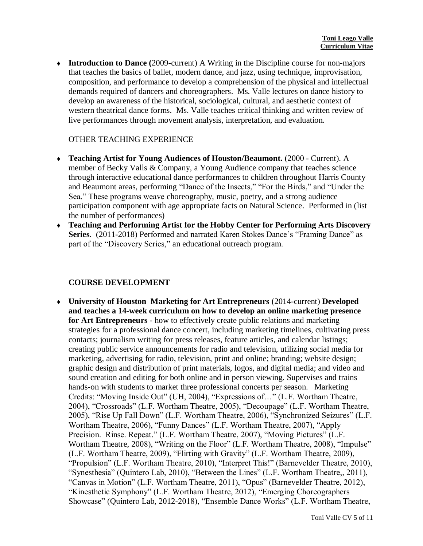**Introduction to Dance (**2009-current) A Writing in the Discipline course for non-majors that teaches the basics of ballet, modern dance, and jazz, using technique, improvisation, composition, and performance to develop a comprehension of the physical and intellectual demands required of dancers and choreographers. Ms. Valle lectures on dance history to develop an awareness of the historical, sociological, cultural, and aesthetic context of western theatrical dance forms. Ms. Valle teaches critical thinking and written review of live performances through movement analysis, interpretation, and evaluation.

## OTHER TEACHING EXPERIENCE

- **Teaching Artist for Young Audiences of Houston/Beaumont.** (2000 Current). A member of Becky Valls & Company, a Young Audience company that teaches science through interactive educational dance performances to children throughout Harris County and Beaumont areas, performing "Dance of the Insects," "For the Birds," and "Under the Sea." These programs weave choreography, music, poetry, and a strong audience participation component with age appropriate facts on Natural Science. Performed in (list the number of performances)
- **Teaching and Performing Artist for the Hobby Center for Performing Arts Discovery Series**. (2011-2018) Performed and narrated Karen Stokes Dance's "Framing Dance" as part of the "Discovery Series," an educational outreach program.

## **COURSE DEVELOPMENT**

 **University of Houston Marketing for Art Entrepreneurs** (2014-current) **Developed and teaches a 14-week curriculum on how to develop an online marketing presence for Art Entrepreneurs** - how to effectively create public relations and marketing strategies for a professional dance concert, including marketing timelines, cultivating press contacts; journalism writing for press releases, feature articles, and calendar listings; creating public service announcements for radio and television, utilizing social media for marketing, advertising for radio, television, print and online; branding; website design; graphic design and distribution of print materials, logos, and digital media; and video and sound creation and editing for both online and in person viewing. Supervises and trains hands-on with students to market three professional concerts per season. Marketing Credits: "Moving Inside Out" (UH, 2004), "Expressions of…" (L.F. Wortham Theatre, 2004), "Crossroads" (L.F. Wortham Theatre, 2005), "Decoupage" (L.F. Wortham Theatre, 2005), "Rise Up Fall Down" (L.F. Wortham Theatre, 2006), "Synchronized Seizures" (L.F. Wortham Theatre, 2006), "Funny Dances" (L.F. Wortham Theatre, 2007), "Apply Precision. Rinse. Repeat." (L.F. Wortham Theatre, 2007), "Moving Pictures" (L.F. Wortham Theatre, 2008), "Writing on the Floor" (L.F. Wortham Theatre, 2008), "Impulse" (L.F. Wortham Theatre, 2009), "Flirting with Gravity" (L.F. Wortham Theatre, 2009), "Propulsion" (L.F. Wortham Theatre, 2010), "Interpret This!" (Barnevelder Theatre, 2010), "Synesthesia" (Quintero Lab, 2010), "Between the Lines" (L.F. Wortham Theatre,, 2011), "Canvas in Motion" (L.F. Wortham Theatre, 2011), "Opus" (Barnevelder Theatre, 2012), "Kinesthetic Symphony" (L.F. Wortham Theatre, 2012), "Emerging Choreographers Showcase" (Quintero Lab, 2012-2018), "Ensemble Dance Works" (L.F. Wortham Theatre,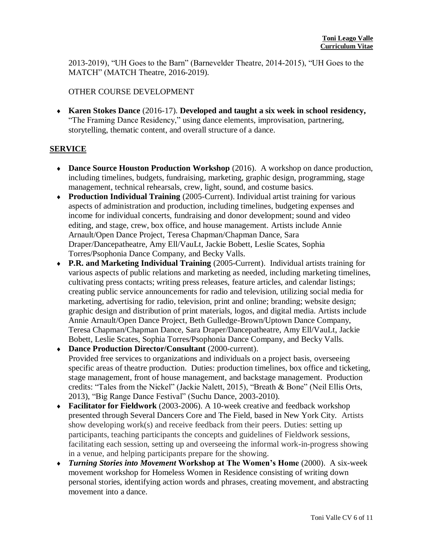2013-2019), "UH Goes to the Barn" (Barnevelder Theatre, 2014-2015), "UH Goes to the MATCH" (MATCH Theatre, 2016-2019).

### OTHER COURSE DEVELOPMENT

 **Karen Stokes Dance** (2016-17). **Developed and taught a six week in school residency,** "The Framing Dance Residency," using dance elements, improvisation, partnering, storytelling, thematic content, and overall structure of a dance.

## **SERVICE**

- **Dance Source Houston Production Workshop** (2016). A workshop on dance production, including timelines, budgets, fundraising, marketing, graphic design, programming, stage management, technical rehearsals, crew, light, sound, and costume basics.
- **Production Individual Training** (2005-Current). Individual artist training for various aspects of administration and production, including timelines, budgeting expenses and income for individual concerts, fundraising and donor development; sound and video editing, and stage, crew, box office, and house management. Artists include Annie Arnault/Open Dance Project, Teresa Chapman/Chapman Dance, Sara Draper/Dancepatheatre, Amy Ell/VauLt, Jackie Bobett, Leslie Scates, Sophia Torres/Psophonia Dance Company, and Becky Valls.
- **P.R. and Marketing Individual Training** (2005-Current). Individual artists training for various aspects of public relations and marketing as needed, including marketing timelines, cultivating press contacts; writing press releases, feature articles, and calendar listings; creating public service announcements for radio and television, utilizing social media for marketing, advertising for radio, television, print and online; branding; website design; graphic design and distribution of print materials, logos, and digital media. Artists include Annie Arnault/Open Dance Project, Beth Gulledge-Brown/Uptown Dance Company, Teresa Chapman/Chapman Dance, Sara Draper/Dancepatheatre, Amy Ell/VauLt, Jackie Bobett, Leslie Scates, Sophia Torres/Psophonia Dance Company, and Becky Valls.
- **Dance Production Director/Consultant** (2000-current). Provided free services to organizations and individuals on a project basis, overseeing specific areas of theatre production. Duties: production timelines, box office and ticketing, stage management, front of house management, and backstage management. Production credits: "Tales from the Nickel" (Jackie Nalett, 2015), "Breath & Bone" (Neil Ellis Orts, 2013), "Big Range Dance Festival" (Suchu Dance, 2003-2010).
- **Facilitator for Fieldwork** (2003-2006). A 10-week creative and feedback workshop presented through Several Dancers Core and The Field, based in New York City. Artists show developing work(s) and receive feedback from their peers. Duties: setting up participants, teaching participants the concepts and guidelines of Fieldwork sessions, facilitating each session, setting up and overseeing the informal work-in-progress showing in a venue, and helping participants prepare for the showing.
- *Turning Stories into Movement* **Workshop at The Women's Home** (2000). A six-week movement workshop for Homeless Women in Residence consisting of writing down personal stories, identifying action words and phrases, creating movement, and abstracting movement into a dance.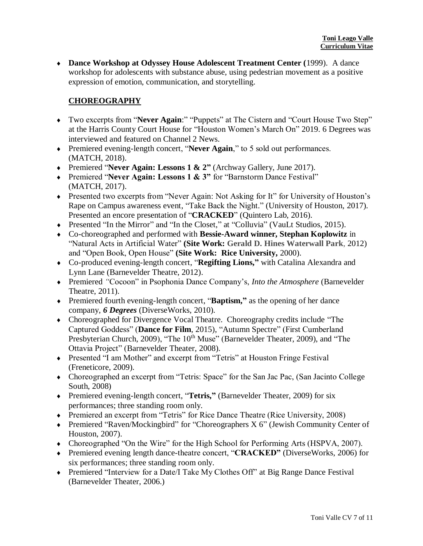**Dance Workshop at Odyssey House Adolescent Treatment Center (**1999). A dance workshop for adolescents with substance abuse, using pedestrian movement as a positive expression of emotion, communication, and storytelling.

## **CHOREOGRAPHY**

- Two excerpts from "**Never Again**:" "Puppets" at The Cistern and "Court House Two Step" at the Harris County Court House for "Houston Women's March On" 2019. 6 Degrees was interviewed and featured on Channel 2 News.
- Premiered evening-length concert, "**Never Again**," to 5 sold out performances. (MATCH, 2018).
- Premiered "**Never Again: Lessons 1 & 2"** (Archway Gallery, June 2017).
- Premiered "**Never Again: Lessons 1 & 3"** for "Barnstorm Dance Festival" (MATCH, 2017).
- Presented two excerpts from "Never Again: Not Asking for It" for University of Houston's Rape on Campus awareness event, "Take Back the Night." (University of Houston, 2017). Presented an encore presentation of "**CRACKED**" (Quintero Lab, 2016).
- Presented "In the Mirror" and "In the Closet," at "Colluvia" (VauLt Studios, 2015).
- Co-choreographed and performed with **Bessie-Award winner, Stephan Koplowitz** in "Natural Acts in Artificial Water" **(Site Work: Gerald D. Hines Waterwall Park**, 2012) and "Open Book, Open House" **(Site Work: Rice University,** 2000).
- Co-produced evening-length concert, "**Regifting Lions,"** with Catalina Alexandra and Lynn Lane (Barnevelder Theatre, 2012).
- Premiered *"*Cocoon" in Psophonia Dance Company's, *Into the Atmosphere* (Barnevelder Theatre, 2011).
- Premiered fourth evening-length concert, "**Baptism,"** as the opening of her dance company, *6 Degrees* (DiverseWorks, 2010).
- Choreographed for Divergence Vocal Theatre. Choreography credits include "The Captured Goddess" (**Dance for Film**, 2015), "Autumn Spectre" (First Cumberland Presbyterian Church, 2009), "The 10<sup>th</sup> Muse" (Barnevelder Theater, 2009), and "The Ottavia Project" (Barnevelder Theater, 2008).
- Presented "I am Mother" and excerpt from "Tetris" at Houston Fringe Festival (Freneticore, 2009).
- Choreographed an excerpt from "Tetris: Space" for the San Jac Pac, (San Jacinto College South, 2008)
- Premiered evening-length concert, "**Tetris,"** (Barnevelder Theater, 2009) for six performances; three standing room only.
- Premiered an excerpt from "Tetris" for Rice Dance Theatre (Rice University, 2008)
- Premiered "Raven/Mockingbird" for "Choreographers X 6" (Jewish Community Center of Houston, 2007).
- Choreographed "On the Wire" for the High School for Performing Arts (HSPVA, 2007).
- Premiered evening length dance-theatre concert, "**CRACKED"** (DiverseWorks, 2006) for six performances; three standing room only.
- Premiered "Interview for a Date/I Take My Clothes Off" at Big Range Dance Festival (Barnevelder Theater, 2006.)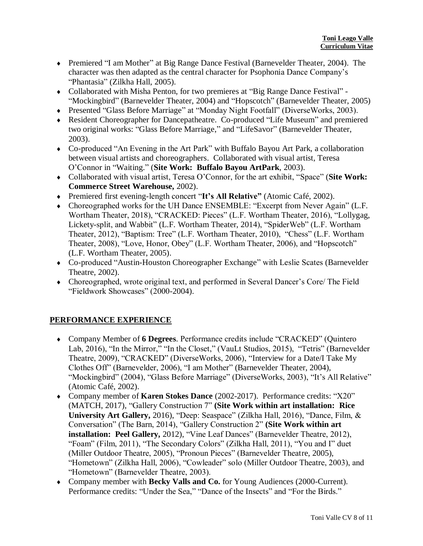- Premiered "I am Mother" at Big Range Dance Festival (Barnevelder Theater, 2004). The character was then adapted as the central character for Psophonia Dance Company's "Phantasia" (Zilkha Hall, 2005).
- Collaborated with Misha Penton, for two premieres at "Big Range Dance Festival" "Mockingbird" (Barnevelder Theater, 2004) and "Hopscotch" (Barnevelder Theater, 2005)
- Presented "Glass Before Marriage" at "Monday Night Footfall" (DiverseWorks, 2003).
- Resident Choreographer for Dancepatheatre. Co-produced "Life Museum" and premiered two original works: "Glass Before Marriage," and "LifeSavor" (Barnevelder Theater, 2003).
- Co-produced "An Evening in the Art Park" with Buffalo Bayou Art Park, a collaboration between visual artists and choreographers. Collaborated with visual artist, Teresa O'Connor in "Waiting." (**Site Work: Buffalo Bayou ArtPark**, 2003).
- Collaborated with visual artist, Teresa O'Connor, for the art exhibit, "Space" (**Site Work: Commerce Street Warehouse,** 2002).
- Premiered first evening-length concert "**It's All Relative"** (Atomic Café, 2002).
- Choreographed works for the UH Dance ENSEMBLE: "Excerpt from Never Again" (L.F. Wortham Theater, 2018), "CRACKED: Pieces" (L.F. Wortham Theater, 2016), "Lollygag, Lickety-split, and Wabbit" (L.F. Wortham Theater, 2014), "SpiderWeb" (L.F. Wortham Theater, 2012), "Baptism: Tree" (L.F. Wortham Theater, 2010), "Chess" (L.F. Wortham Theater, 2008), "Love, Honor, Obey" (L.F. Wortham Theater, 2006), and "Hopscotch" (L.F. Wortham Theater, 2005).
- Co-produced "Austin-Houston Choreographer Exchange" with Leslie Scates (Barnevelder Theatre, 2002).
- Choreographed, wrote original text, and performed in Several Dancer's Core/ The Field "Fieldwork Showcases" (2000-2004).

## **PERFORMANCE EXPERIENCE**

- Company Member of **6 Degrees**. Performance credits include "CRACKED" (Quintero Lab, 2016), "In the Mirror," "In the Closet," (VauLt Studios, 2015), "Tetris" (Barnevelder Theatre, 2009), "CRACKED" (DiverseWorks, 2006), "Interview for a Date/I Take My Clothes Off" (Barnevelder, 2006), "I am Mother" (Barnevelder Theater, 2004), "Mockingbird" (2004), "Glass Before Marriage" (DiverseWorks, 2003), "It's All Relative" (Atomic Café, 2002).
- Company member of **Karen Stokes Dance** (2002-2017). Performance credits: "X20" (MATCH, 2017), "Gallery Construction 7" **(Site Work within art installation: Rice University Art Gallery,** 2016), "Deep: Seaspace" (Zilkha Hall, 2016), "Dance, Film, & Conversation" (The Barn, 2014), "Gallery Construction 2" **(Site Work within art installation: Peel Gallery,** 2012), "Vine Leaf Dances" (Barnevelder Theatre, 2012), "Foam" (Film, 2011), "The Secondary Colors" (Zilkha Hall, 2011), "You and I" duet (Miller Outdoor Theatre, 2005), "Pronoun Pieces" (Barnevelder Theatre, 2005), "Hometown" (Zilkha Hall, 2006), "Cowleader" solo (Miller Outdoor Theatre, 2003), and "Hometown" (Barnevelder Theatre, 2003).
- Company member with **Becky Valls and Co.** for Young Audiences (2000-Current). Performance credits: "Under the Sea," "Dance of the Insects" and "For the Birds."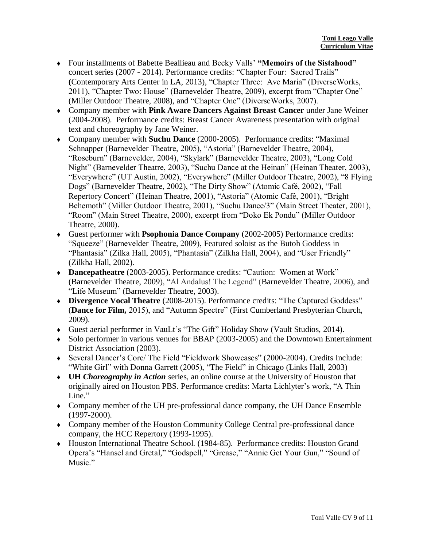- Four installments of Babette Beallieau and Becky Valls' **"Memoirs of the Sistahood"** concert series (2007 - 2014). Performance credits: "Chapter Four: Sacred Trails" **(**Contemporary Arts Center in LA, 2013), "Chapter Three: Ave Maria" (DiverseWorks, 2011), "Chapter Two: House" (Barnevelder Theatre, 2009), excerpt from "Chapter One" (Miller Outdoor Theatre, 2008), and "Chapter One" (DiverseWorks, 2007).
- Company member with **Pink Aware Dancers Against Breast Cancer** under Jane Weiner (2004-2008). Performance credits: Breast Cancer Awareness presentation with original text and choreography by Jane Weiner.
- Company member with **Suchu Dance** (2000-2005). Performance credits: "Maximal Schnapper (Barnevelder Theatre, 2005), "Astoria" (Barnevelder Theatre, 2004), "Roseburn" (Barnevelder, 2004), "Skylark" (Barnevelder Theatre, 2003), "Long Cold Night" (Barnevelder Theatre, 2003), "Suchu Dance at the Heinan" (Heinan Theater, 2003), "Everywhere" (UT Austin, 2002), "Everywhere" (Miller Outdoor Theatre, 2002), "8 Flying Dogs" (Barnevelder Theatre, 2002), "The Dirty Show" (Atomic Café, 2002), "Fall Repertory Concert" (Heinan Theatre, 2001), "Astoria" (Atomic Café, 2001), "Bright Behemoth" (Miller Outdoor Theatre, 2001), "Suchu Dance/3" (Main Street Theater, 2001), "Room" (Main Street Theatre, 2000), excerpt from "Doko Ek Pondu" (Miller Outdoor Theatre, 2000).
- Guest performer with **Psophonia Dance Company** (2002-2005) Performance credits: "Squeeze" (Barnevelder Theatre, 2009), Featured soloist as the Butoh Goddess in "Phantasia" (Zilka Hall, 2005), "Phantasia" (Zilkha Hall, 2004), and "User Friendly" (Zilkha Hall, 2002).
- **Dancepatheatre** (2003-2005). Performance credits: "Caution: Women at Work" (Barnevelder Theatre, 2009), "Al Andalus! The Legend" (Barnevelder Theatre, 2006), and "Life Museum" (Barnevelder Theatre, 2003).
- **Divergence Vocal Theatre** (2008-2015). Performance credits: "The Captured Goddess" (**Dance for Film,** 2015), and "Autumn Spectre" (First Cumberland Presbyterian Church, 2009).
- Guest aerial performer in VauLt's "The Gift" Holiday Show (Vault Studios, 2014).
- Solo performer in various venues for BBAP (2003-2005) and the Downtown Entertainment District Association (2003).
- Several Dancer's Core/ The Field "Fieldwork Showcases" (2000-2004). Credits Include: "White Girl" with Donna Garrett (2005), "The Field" in Chicago (Links Hall, 2003)
- **UH** *Choreography in Action* series, an online course at the University of Houston that originally aired on Houston PBS. Performance credits: Marta Lichlyter's work, "A Thin Line."
- Company member of the UH pre-professional dance company, the UH Dance Ensemble (1997-2000).
- Company member of the Houston Community College Central pre-professional dance company, the HCC Repertory (1993-1995).
- Houston International Theatre School. (1984-85). Performance credits: Houston Grand Opera's "Hansel and Gretal," "Godspell," "Grease," "Annie Get Your Gun," "Sound of Music."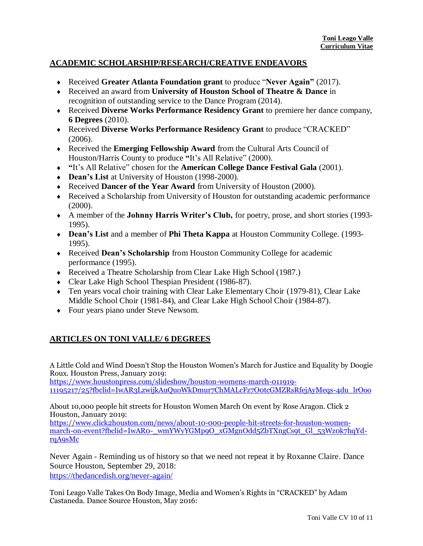## **ACADEMIC SCHOLARSHIP/RESEARCH/CREATIVE ENDEAVORS**

- Received **Greater Atlanta Foundation grant** to produce "**Never Again"** (2017).
- Received an award from **University of Houston School of Theatre & Dance** in recognition of outstanding service to the Dance Program (2014).
- Received **Diverse Works Performance Residency Grant** to premiere her dance company, **6 Degrees** (2010).
- Received **Diverse Works Performance Residency Grant** to produce "CRACKED" (2006).
- Received the **Emerging Fellowship Award** from the Cultural Arts Council of Houston/Harris County to produce **"**It's All Relative" (2000).
- **"**It's All Relative" chosen for the **American College Dance Festival Gala** (2001).
- **Dean's List** at University of Houston (1998-2000).
- Received **Dancer of the Year Award** from University of Houston (2000).
- Received a Scholarship from University of Houston for outstanding academic performance (2000).
- A member of the **Johnny Harris Writer's Club,** for poetry, prose, and short stories (1993- 1995).
- **Dean's List** and a member of **Phi Theta Kappa** at Houston Community College. (1993- 1995).
- Received **Dean's Scholarship** from Houston Community College for academic performance (1995).
- Received a Theatre Scholarship from Clear Lake High School (1987.)
- Clear Lake High School Thespian President (1986-87).
- Ten years vocal choir training with Clear Lake Elementary Choir (1979-81), Clear Lake Middle School Choir (1981-84), and Clear Lake High School Choir (1984-87).
- Four years piano under Steve Newsom.

## **ARTICLES ON TONI VALLE/ 6 DEGREES**

A Little Cold and Wind Doesn't Stop the Houston Women's March for Justice and Equality by Doogie Roux. Houston Press, January 2019:

[https://www.houstonpress.com/slideshow/houston-womens-march-011919-](https://www.houstonpress.com/slideshow/houston-womens-march-011919-11195217/25?fbclid=IwAR3LzwijkAuQuoWkDmur7ChMALcFz7O0tcGMZRsRfejAyMeqs-4du_lrOoo) [11195217/25?fbclid=IwAR3LzwijkAuQuoWkDmur7ChMALcFz7O0tcGMZRsRfejAyMeqs-4du\\_lrOoo](https://www.houstonpress.com/slideshow/houston-womens-march-011919-11195217/25?fbclid=IwAR3LzwijkAuQuoWkDmur7ChMALcFz7O0tcGMZRsRfejAyMeqs-4du_lrOoo)

About 10,000 people hit streets for Houston Women March On event by Rose Aragon. Click 2 Houston, January 2019:

[https://www.click2houston.com/news/about-10-000-people-hit-streets-for-houston-women](https://www.click2houston.com/news/about-10-000-people-hit-streets-for-houston-women-march-on-event?fbclid=IwAR0-_wmYWyYGMp9O_xGMgnOdd5ZbTXngCs9t_Gl_53Wz0k7hqYd-rqA9sMc)[march-on-event?fbclid=IwAR0-\\_wmYWyYGMp9O\\_xGMgnOdd5ZbTXngCs9t\\_Gl\\_53Wz0k7hqYd](https://www.click2houston.com/news/about-10-000-people-hit-streets-for-houston-women-march-on-event?fbclid=IwAR0-_wmYWyYGMp9O_xGMgnOdd5ZbTXngCs9t_Gl_53Wz0k7hqYd-rqA9sMc)[rqA9sMc](https://www.click2houston.com/news/about-10-000-people-hit-streets-for-houston-women-march-on-event?fbclid=IwAR0-_wmYWyYGMp9O_xGMgnOdd5ZbTXngCs9t_Gl_53Wz0k7hqYd-rqA9sMc)

Never Again - Reminding us of history so that we need not repeat it by Roxanne Claire. Dance Source Houston, September 29, 2018: <https://thedancedish.org/never-again/>

Toni Leago Valle Takes On Body Image, Media and Women's Rights in "CRACKED" by Adam Castaneda. Dance Source Houston, May 2016: